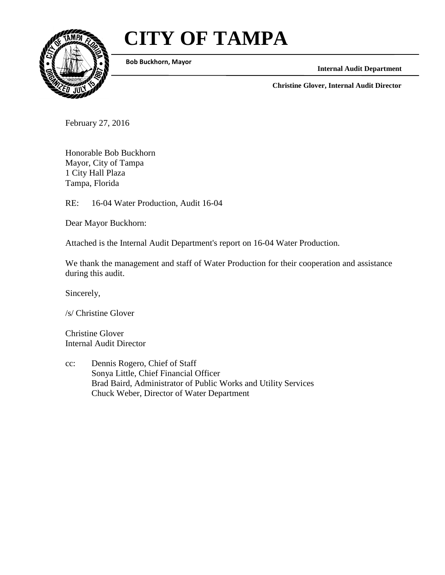# **CITY OF TAMPA**



**Bob Buckhorn, Mayor**

**Internal Audit Department**

**Christine Glover, Internal Audit Director**

February 27, 2016

Honorable Bob Buckhorn Mayor, City of Tampa 1 City Hall Plaza Tampa, Florida

RE: 16-04 Water Production, Audit 16-04

Dear Mayor Buckhorn:

Attached is the Internal Audit Department's report on 16-04 Water Production.

We thank the management and staff of Water Production for their cooperation and assistance during this audit.

Sincerely,

/s/ Christine Glover

Christine Glover Internal Audit Director

cc: Dennis Rogero, Chief of Staff Sonya Little, Chief Financial Officer Brad Baird, Administrator of Public Works and Utility Services Chuck Weber, Director of Water Department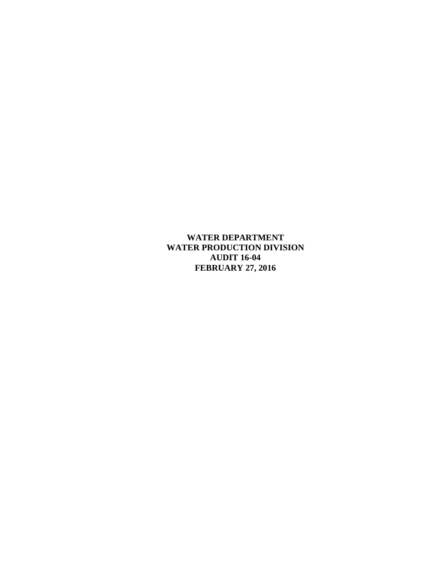**WATER DEPARTMENT WATER PRODUCTION DIVISION AUDIT 16-04 FEBRUARY 27, 2016**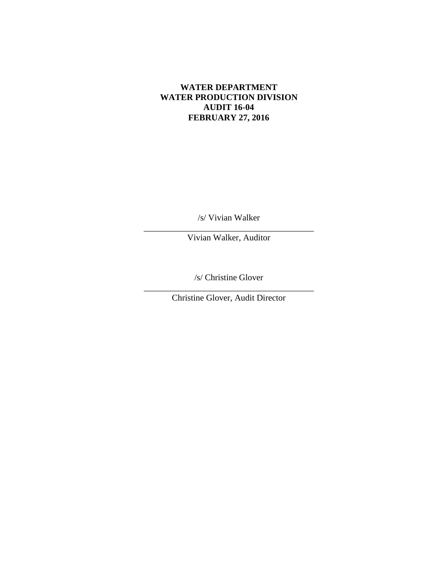## **WATER DEPARTMENT WATER PRODUCTION DIVISION AUDIT 16-04 FEBRUARY 27, 2016**

/s/ Vivian Walker

\_\_\_\_\_\_\_\_\_\_\_\_\_\_\_\_\_\_\_\_\_\_\_\_\_\_\_\_\_\_\_\_\_\_\_\_\_\_\_ Vivian Walker, Auditor

/s/ Christine Glover

\_\_\_\_\_\_\_\_\_\_\_\_\_\_\_\_\_\_\_\_\_\_\_\_\_\_\_\_\_\_\_\_\_\_\_\_\_\_\_ Christine Glover, Audit Director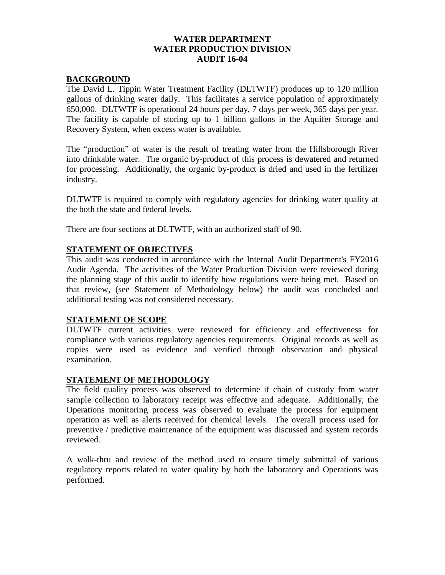## **WATER DEPARTMENT WATER PRODUCTION DIVISION AUDIT 16-04**

## **BACKGROUND**

The David L. Tippin Water Treatment Facility (DLTWTF) produces up to 120 million gallons of drinking water daily. This facilitates a service population of approximately 650,000. DLTWTF is operational 24 hours per day, 7 days per week, 365 days per year. The facility is capable of storing up to 1 billion gallons in the Aquifer Storage and Recovery System, when excess water is available.

The "production" of water is the result of treating water from the Hillsborough River into drinkable water. The organic by-product of this process is dewatered and returned for processing. Additionally, the organic by-product is dried and used in the fertilizer industry.

DLTWTF is required to comply with regulatory agencies for drinking water quality at the both the state and federal levels.

There are four sections at DLTWTF, with an authorized staff of 90.

#### **STATEMENT OF OBJECTIVES**

This audit was conducted in accordance with the Internal Audit Department's FY2016 Audit Agenda. The activities of the Water Production Division were reviewed during the planning stage of this audit to identify how regulations were being met. Based on that review, (see Statement of Methodology below) the audit was concluded and additional testing was not considered necessary.

#### **STATEMENT OF SCOPE**

DLTWTF current activities were reviewed for efficiency and effectiveness for compliance with various regulatory agencies requirements. Original records as well as copies were used as evidence and verified through observation and physical examination.

## **STATEMENT OF METHODOLOGY**

The field quality process was observed to determine if chain of custody from water sample collection to laboratory receipt was effective and adequate. Additionally, the Operations monitoring process was observed to evaluate the process for equipment operation as well as alerts received for chemical levels. The overall process used for preventive / predictive maintenance of the equipment was discussed and system records reviewed.

A walk-thru and review of the method used to ensure timely submittal of various regulatory reports related to water quality by both the laboratory and Operations was performed.